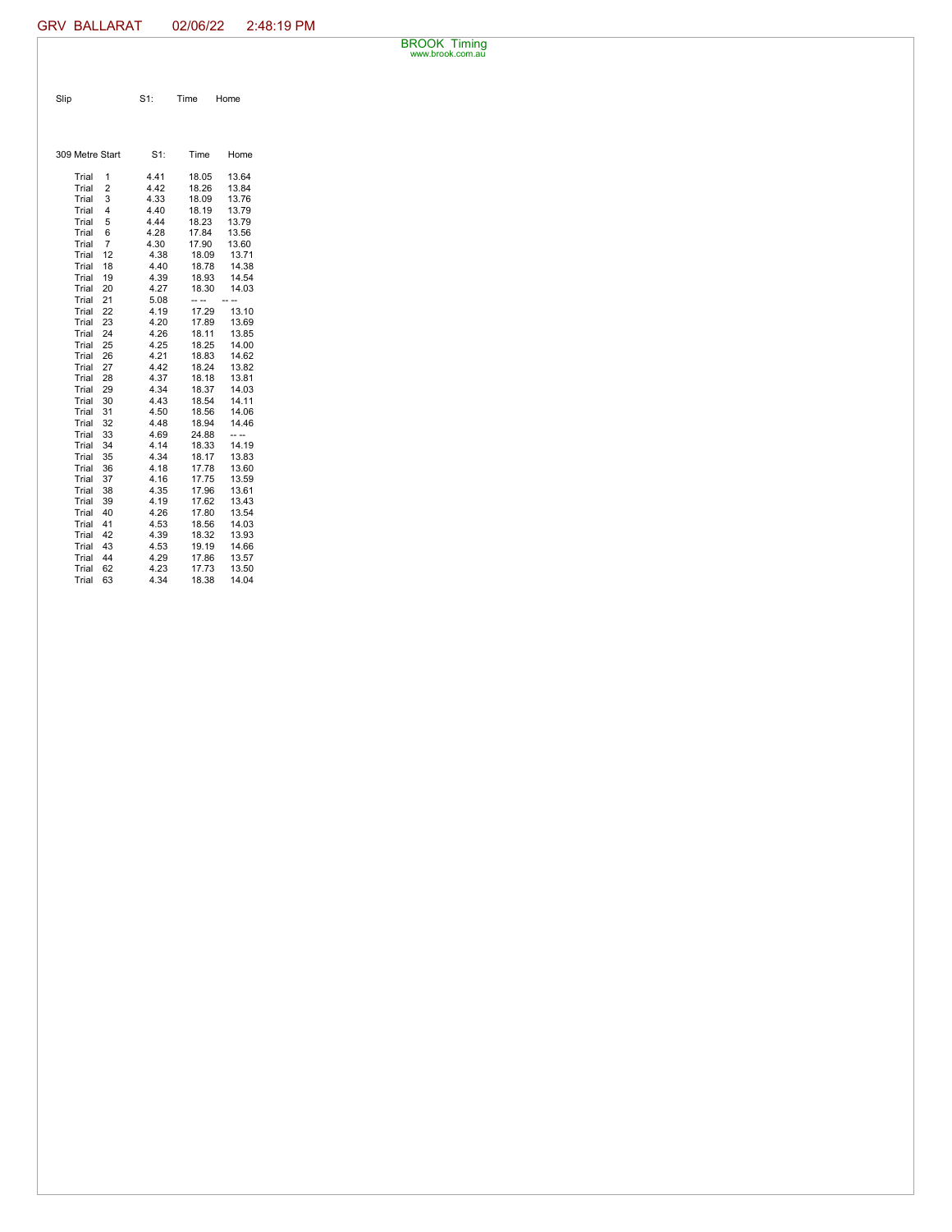BROOK Timing www.brook.com.au

| Slip | $S1$ : | Time Home |
|------|--------|-----------|

| 309 Metre Start |                | $S1$ : | Time  | Home  |
|-----------------|----------------|--------|-------|-------|
| Trial           | 1              | 4.41   | 18.05 | 13.64 |
| Trial           | $\overline{2}$ | 4.42   | 18.26 | 13.84 |
| Trial           | 3              | 4.33   | 18.09 | 13.76 |
| Trial           | 4              | 4.40   | 18.19 | 13.79 |
| Trial           | 5              | 4.44   | 18.23 | 13.79 |
| Trial           | 6              | 4.28   | 17.84 | 13.56 |
| Trial           | 7              | 4.30   | 17.90 | 13.60 |
| Trial           | 12             | 4.38   | 18.09 | 13.71 |
| Trial           | 18             | 4.40   | 18.78 | 14.38 |
| Trial           | 19             | 4.39   | 18.93 | 14.54 |
| Trial           | 20             | 4.27   | 18.30 | 14.03 |
| Trial           | 21             | 5.08   |       |       |
| Trial           | 22             | 4.19   | 17.29 | 13.10 |
| Trial           | 23             | 4.20   | 17.89 | 13.69 |
| Trial           | 24             | 4.26   | 18.11 | 13.85 |
| Trial           | 25             | 4.25   | 18.25 | 14.00 |
| Trial           | 26             | 4.21   | 18.83 | 14.62 |
| Trial           | 27             | 4.42   | 18.24 | 13.82 |
| Trial           | 28             | 4.37   | 18.18 | 13.81 |
| Trial           | 29             | 4.34   | 18.37 | 14.03 |
| Trial           | 30             | 4.43   | 18.54 | 14.11 |
| Trial           | 31             | 4.50   | 18.56 | 14.06 |
| Trial           | 32             | 4.48   | 18.94 | 14.46 |
| Trial           | 33             | 4.69   | 24.88 | -- -- |
| Trial           | 34             | 4.14   | 18.33 | 14.19 |
| Trial           | 35             | 4.34   | 18.17 | 13.83 |
| Trial           | 36             | 4.18   | 17.78 | 13.60 |
| Trial           | 37             | 4.16   | 17.75 | 13.59 |
| Trial           | 38             | 4.35   | 17.96 | 13.61 |
| Trial           | 39             | 4.19   | 17.62 | 13.43 |
| Trial           | 40             | 4.26   | 17.80 | 13.54 |
| Trial           | 41             | 4.53   | 18.56 | 14.03 |
| Trial           | 42             | 4.39   | 18.32 | 13.93 |
| Trial           | 43             | 4.53   | 19.19 | 14.66 |
| Trial           | 44             | 4.29   | 17.86 | 13.57 |
| Trial           | 62             | 4.23   | 17.73 | 13.50 |
| Trial           | 63             | 4.34   | 18.38 | 14.04 |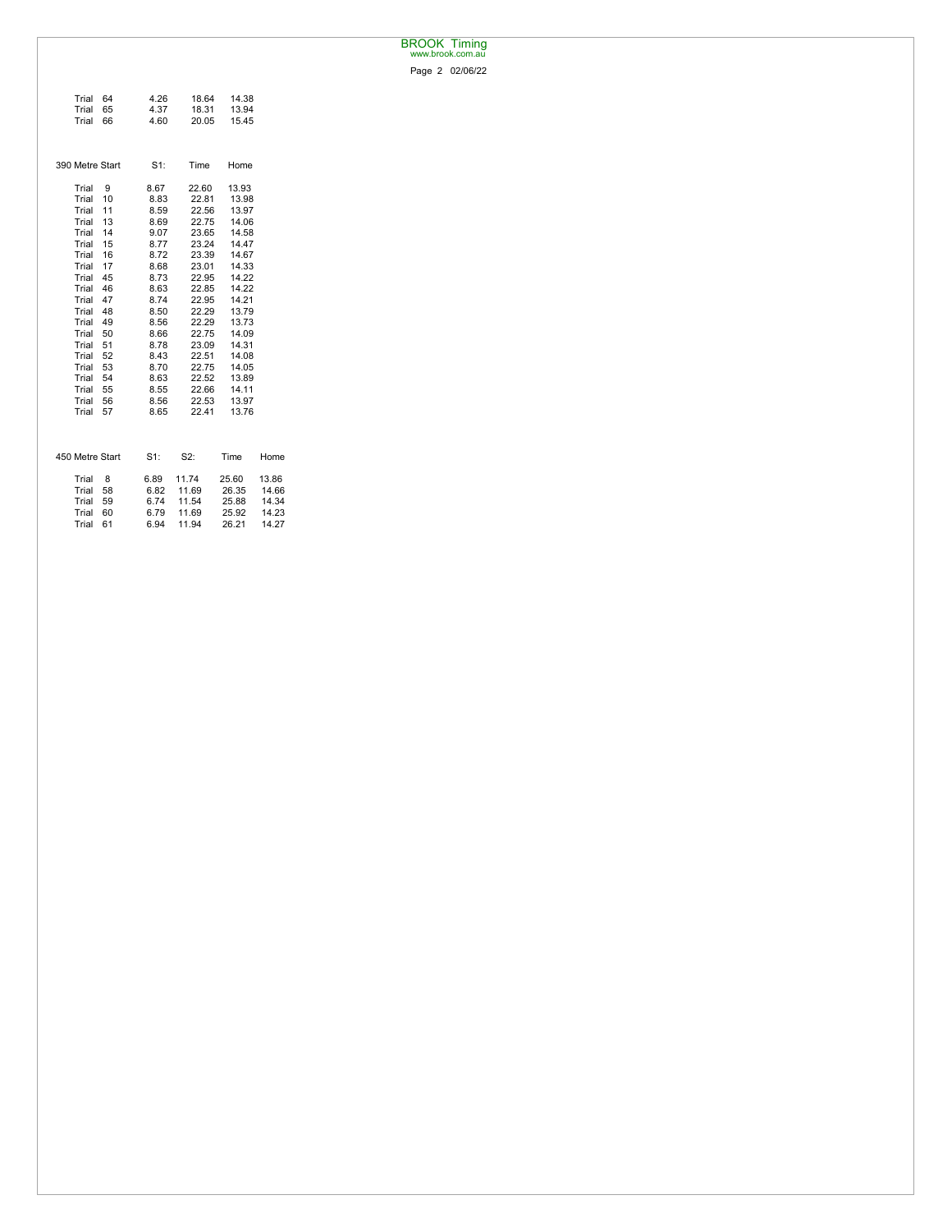## BROOK Timing www.brook.com.au

Page 2 02/06/22

| Trial           | 64 | 4.26   | 18.64 | 14.38 |       |
|-----------------|----|--------|-------|-------|-------|
| Trial           | 65 | 4.37   | 18.31 | 13.94 |       |
| Trial           | 66 | 4.60   | 20.05 | 15.45 |       |
|                 |    |        |       |       |       |
|                 |    |        |       |       |       |
| 390 Metre Start |    | $S1$ : | Time  | Home  |       |
|                 |    |        |       |       |       |
| Trial           | 9  | 8.67   | 22.60 | 13.93 |       |
| Trial           | 10 | 8.83   | 22.81 | 13.98 |       |
| Trial           | 11 | 8.59   | 22.56 | 13.97 |       |
| Trial           | 13 | 8.69   | 22.75 | 14.06 |       |
| Trial           | 14 | 9.07   | 23.65 | 14.58 |       |
| Trial           | 15 | 8.77   | 23.24 | 14.47 |       |
| Trial           | 16 | 8.72   | 23.39 | 14.67 |       |
| Trial           | 17 | 8.68   | 23.01 | 14.33 |       |
| Trial           | 45 | 8.73   | 22.95 | 14.22 |       |
| Trial           | 46 | 8.63   | 22.85 | 14.22 |       |
| Trial           | 47 | 8.74   | 22.95 | 14.21 |       |
| Trial           | 48 | 8.50   | 22.29 | 13.79 |       |
| Trial           | 49 | 8.56   | 22.29 | 13.73 |       |
| Trial           | 50 | 8.66   | 22.75 | 14.09 |       |
| Trial           | 51 | 8.78   | 23.09 | 14.31 |       |
| Trial           | 52 | 8.43   | 22.51 | 14.08 |       |
| Trial           | 53 | 8.70   | 22.75 | 14.05 |       |
| Trial           | 54 | 8.63   | 22.52 | 13.89 |       |
| Trial           | 55 | 8.55   | 22.66 | 14.11 |       |
| Trial           | 56 | 8.56   | 22.53 | 13.97 |       |
| Trial           | 57 | 8.65   | 22.41 | 13.76 |       |
|                 |    |        |       |       |       |
|                 |    |        |       |       |       |
|                 |    |        |       |       |       |
| 450 Metre Start |    | $S1$ : | S2:   | Time  | Home  |
| Trial           | 8  | 6.89   | 11.74 | 25.60 | 13.86 |
| Trial           | 58 | 6.82   | 11.69 | 26.35 | 14.66 |
| Trial           | 59 | 6.74   | 11.54 | 25.88 | 14.34 |
| Trial           | 60 | 6.79   | 11.69 | 25.92 | 14.23 |
| Trial           | 61 | 6.94   | 11.94 | 26.21 | 14.27 |
|                 |    |        |       |       |       |